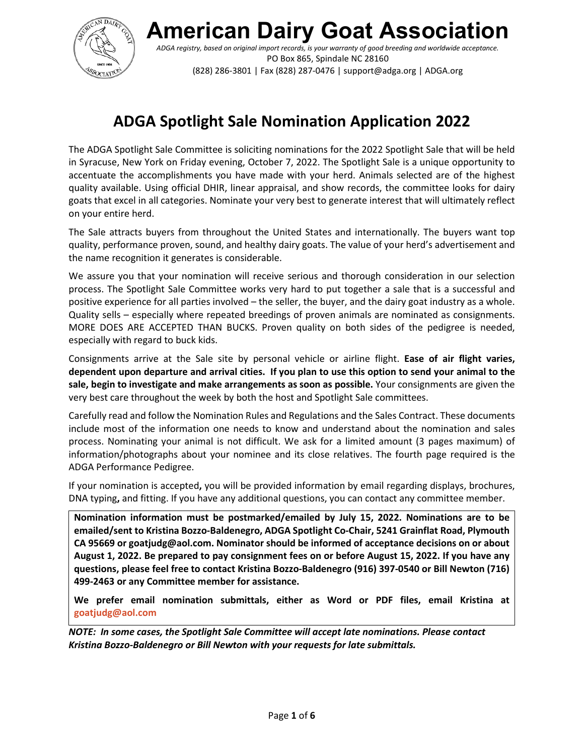

**American Dairy Goat Association**

*ADGA registry, based on original import records, is your warranty of good breeding and worldwide acceptance.* PO Box 865, Spindale NC 28160 (828) 286-3801 | Fax (828) 287-0476 | support@adga.org | ADGA.org

## **ADGA Spotlight Sale Nomination Application 2022**

The ADGA Spotlight Sale Committee is soliciting nominations for the 2022 Spotlight Sale that will be held in Syracuse, New York on Friday evening, October 7, 2022. The Spotlight Sale is a unique opportunity to accentuate the accomplishments you have made with your herd. Animals selected are of the highest quality available. Using official DHIR, linear appraisal, and show records, the committee looks for dairy goats that excel in all categories. Nominate your very best to generate interest that will ultimately reflect on your entire herd.

The Sale attracts buyers from throughout the United States and internationally. The buyers want top quality, performance proven, sound, and healthy dairy goats. The value of your herd's advertisement and the name recognition it generates is considerable.

We assure you that your nomination will receive serious and thorough consideration in our selection process. The Spotlight Sale Committee works very hard to put together a sale that is a successful and positive experience for all parties involved – the seller, the buyer, and the dairy goat industry as a whole. Quality sells – especially where repeated breedings of proven animals are nominated as consignments. MORE DOES ARE ACCEPTED THAN BUCKS. Proven quality on both sides of the pedigree is needed, especially with regard to buck kids.

Consignments arrive at the Sale site by personal vehicle or airline flight. **Ease of air flight varies, dependent upon departure and arrival cities. If you plan to use this option to send your animal to the sale, begin to investigate and make arrangements as soon as possible.** Your consignments are given the very best care throughout the week by both the host and Spotlight Sale committees.

Carefully read and follow the Nomination Rules and Regulations and the Sales Contract. These documents include most of the information one needs to know and understand about the nomination and sales process. Nominating your animal is not difficult. We ask for a limited amount (3 pages maximum) of information/photographs about your nominee and its close relatives. The fourth page required is the ADGA Performance Pedigree.

If your nomination is accepted**,** you will be provided information by email regarding displays, brochures, DNA typing**,** and fitting. If you have any additional questions, you can contact any committee member.

**Nomination information must be postmarked/emailed by July 15, 2022. Nominations are to be emailed/sent to Kristina Bozzo-Baldenegro, ADGA Spotlight Co-Chair, 5241 Grainflat Road, Plymouth CA 95669 or goatjudg@aol.com. Nominator should be informed of acceptance decisions on or about August 1, 2022. Be prepared to pay consignment fees on or before August 15, 2022. If you have any questions, please feel free to contact Kristina Bozzo-Baldenegro (916) 397-0540 or Bill Newton (716) 499-2463 or any Committee member for assistance.**

**We prefer email nomination submittals, either as Word or PDF files, email Kristina at goatjudg@aol.com**

*NOTE: In some cases, the Spotlight Sale Committee will accept late nominations. Please contact Kristina Bozzo-Baldenegro or Bill Newton with your requests for late submittals.*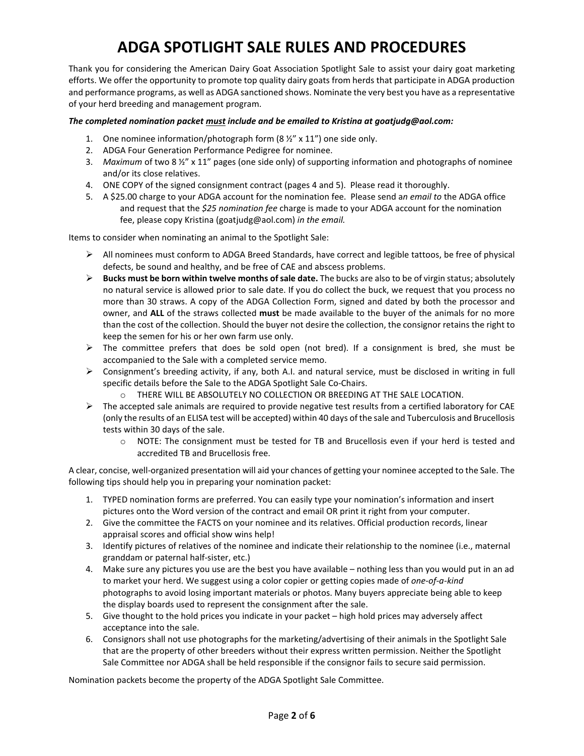## **ADGA SPOTLIGHT SALE RULES AND PROCEDURES**

Thank you for considering the American Dairy Goat Association Spotlight Sale to assist your dairy goat marketing efforts. We offer the opportunity to promote top quality dairy goats from herds that participate in ADGA production and performance programs, as well as ADGA sanctioned shows. Nominate the very best you have as a representative of your herd breeding and management program.

### *The completed nomination packet must include and be emailed to Kristina at goatjudg@aol.com:*

- 1. One nominee information/photograph form (8 ½" x 11") one side only.
- 2. ADGA Four Generation Performance Pedigree for nominee.
- 3. *Maximum* of two 8 ½" x 11" pages (one side only) of supporting information and photographs of nominee and/or its close relatives.
- 4. ONE COPY of the signed consignment contract (pages 4 and 5). Please read it thoroughly.
- 5. A \$25.00 charge to your ADGA account for the nomination fee. Please send a*n email to* the ADGA office and request that the *\$25 nomination fee* charge is made to your ADGA account for the nomination fee, please copy Kristina (goatjudg@aol.com) *in the email.*

Items to consider when nominating an animal to the Spotlight Sale:

- $\triangleright$  All nominees must conform to ADGA Breed Standards, have correct and legible tattoos, be free of physical defects, be sound and healthy, and be free of CAE and abscess problems.
- **Bucks must be born within twelve months of sale date.** The bucks are also to be of virgin status; absolutely no natural service is allowed prior to sale date. If you do collect the buck, we request that you process no more than 30 straws. A copy of the ADGA Collection Form, signed and dated by both the processor and owner, and **ALL** of the straws collected **must** be made available to the buyer of the animals for no more than the cost of the collection. Should the buyer not desire the collection, the consignor retains the right to keep the semen for his or her own farm use only.
- $\triangleright$  The committee prefers that does be sold open (not bred). If a consignment is bred, she must be accompanied to the Sale with a completed service memo.
- Consignment's breeding activity, if any, both A.I. and natural service, must be disclosed in writing in full specific details before the Sale to the ADGA Spotlight Sale Co-Chairs.
	- o THERE WILL BE ABSOLUTELY NO COLLECTION OR BREEDING AT THE SALE LOCATION.
- $\triangleright$  The accepted sale animals are required to provide negative test results from a certified laboratory for CAE (only the results of an ELISA test will be accepted) within 40 days of the sale and Tuberculosis and Brucellosis tests within 30 days of the sale.
	- o NOTE: The consignment must be tested for TB and Brucellosis even if your herd is tested and accredited TB and Brucellosis free.

A clear, concise, well-organized presentation will aid your chances of getting your nominee accepted to the Sale. The following tips should help you in preparing your nomination packet:

- 1. TYPED nomination forms are preferred. You can easily type your nomination's information and insert pictures onto the Word version of the contract and email OR print it right from your computer.
- 2. Give the committee the FACTS on your nominee and its relatives. Official production records, linear appraisal scores and official show wins help!
- 3. Identify pictures of relatives of the nominee and indicate their relationship to the nominee (i.e., maternal granddam or paternal half-sister, etc.)
- 4. Make sure any pictures you use are the best you have available nothing less than you would put in an ad to market your herd. We suggest using a color copier or getting copies made of *one-of-a-kind* photographs to avoid losing important materials or photos. Many buyers appreciate being able to keep the display boards used to represent the consignment after the sale.
- 5. Give thought to the hold prices you indicate in your packet high hold prices may adversely affect acceptance into the sale.
- 6. Consignors shall not use photographs for the marketing/advertising of their animals in the Spotlight Sale that are the property of other breeders without their express written permission. Neither the Spotlight Sale Committee nor ADGA shall be held responsible if the consignor fails to secure said permission.

Nomination packets become the property of the ADGA Spotlight Sale Committee.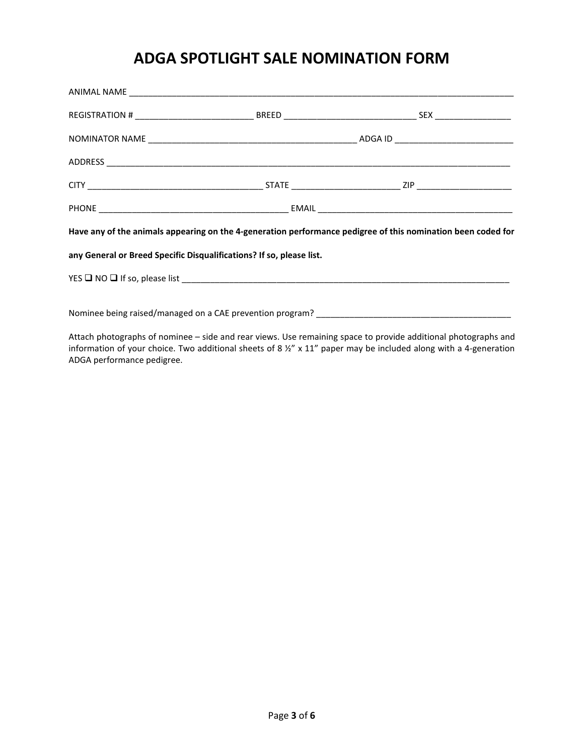### **ADGA SPOTLIGHT SALE NOMINATION FORM**

| Have any of the animals appearing on the 4-generation performance pedigree of this nomination been coded for |  |  |  |  |  |  |  |
|--------------------------------------------------------------------------------------------------------------|--|--|--|--|--|--|--|
| any General or Breed Specific Disqualifications? If so, please list.                                         |  |  |  |  |  |  |  |
|                                                                                                              |  |  |  |  |  |  |  |
|                                                                                                              |  |  |  |  |  |  |  |

Attach photographs of nominee – side and rear views. Use remaining space to provide additional photographs and information of your choice. Two additional sheets of 8 ½" x 11" paper may be included along with a 4-generation ADGA performance pedigree.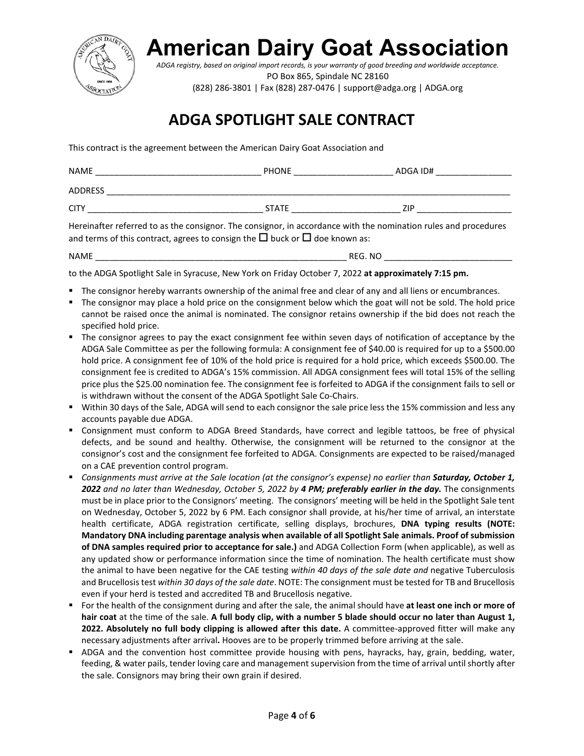

# **American Dairy Goat Association**

*ADGA registry, based on original import records, is your warranty of good breeding and worldwide acceptance.* PO Box 865, Spindale NC 28160

(828) 286-3801 | Fax (828) 287-0476 | support@adga.org | ADGA.org

## **ADGA SPOTLIGHT SALE CONTRACT**

This contract is the agreement between the American Dairy Goat Association and

| <b>NAME</b>    | <b>PHONE</b> | ADGA ID# |
|----------------|--------------|----------|
| <b>ADDRESS</b> |              |          |
| <b>CITY</b>    | <b>STATE</b> | 7IP      |

Hereinafter referred to as the consignor. The consignor, in accordance with the nomination rules and procedures and terms of this contract, agrees to consign the  $\Box$  buck or  $\Box$  doe known as:

NAME \_\_\_\_\_\_\_\_\_\_\_\_\_\_\_\_\_\_\_\_\_\_\_\_\_\_\_\_\_\_\_\_\_\_\_\_\_\_\_\_\_\_\_\_\_\_\_\_\_\_\_\_\_ REG. NO \_\_\_\_\_\_\_\_\_\_\_\_\_\_\_\_\_\_\_\_\_\_\_\_\_\_\_

to the ADGA Spotlight Sale in Syracuse, New York on Friday October 7, 2022 **at approximately 7:15 pm.**

- The consignor hereby warrants ownership of the animal free and clear of any and all liens or encumbrances.
- The consignor may place a hold price on the consignment below which the goat will not be sold. The hold price cannot be raised once the animal is nominated. The consignor retains ownership if the bid does not reach the specified hold price.
- The consignor agrees to pay the exact consignment fee within seven days of notification of acceptance by the ADGA Sale Committee as per the following formula: A consignment fee of \$40.00 is required for up to a \$500.00 hold price. A consignment fee of 10% of the hold price is required for a hold price, which exceeds \$500.00. The consignment fee is credited to ADGA's 15% commission. All ADGA consignment fees will total 15% of the selling price plus the \$25.00 nomination fee. The consignment fee is forfeited to ADGA if the consignment fails to sell or is withdrawn without the consent of the ADGA Spotlight Sale Co-Chairs.
- Within 30 days of the Sale, ADGA will send to each consignor the sale price less the 15% commission and less any accounts payable due ADGA.
- Consignment must conform to ADGA Breed Standards, have correct and legible tattoos, be free of physical defects, and be sound and healthy. Otherwise, the consignment will be returned to the consignor at the consignor's cost and the consignment fee forfeited to ADGA. Consignments are expected to be raised/managed on a CAE prevention control program.
- *Consignments must arrive at the Sale location (at the consignor's expense) no earlier than Saturday, October 1, 2022 and no later than Wednesday, October 5, 2022 by 4 PM; preferably earlier in the day.* The consignments must be in place prior to the Consignors' meeting. The consignors' meeting will be held in the Spotlight Sale tent on Wednesday, October 5, 2022 by 6 PM. Each consignor shall provide, at his/her time of arrival, an interstate health certificate, ADGA registration certificate, selling displays, brochures, **DNA typing results (NOTE: Mandatory DNA including parentage analysis when available of all Spotlight Sale animals. Proof of submission of DNA samples required prior to acceptance for sale.)** and ADGA Collection Form (when applicable), as well as any updated show or performance information since the time of nomination. The health certificate must show the animal to have been negative for the CAE testing *within 40 days of the sale date and* negative Tuberculosis and Brucellosis test *within 30 days of the sale date*. NOTE: The consignment must be tested for TB and Brucellosis even if your herd is tested and accredited TB and Brucellosis negative.
- For the health of the consignment during and after the sale, the animal should have **at least one inch or more of hair coat** at the time of the sale. **A full body clip, with a number 5 blade should occur no later than August 1, 2022. Absolutely no full body clipping is allowed after this date.** A committee-approved fitter will make any necessary adjustments after arrival**.** Hooves are to be properly trimmed before arriving at the sale.
- ADGA and the convention host committee provide housing with pens, hayracks, hay, grain, bedding, water, feeding, & water pails, tender loving care and management supervision from the time of arrival until shortly after the sale. Consignors may bring their own grain if desired.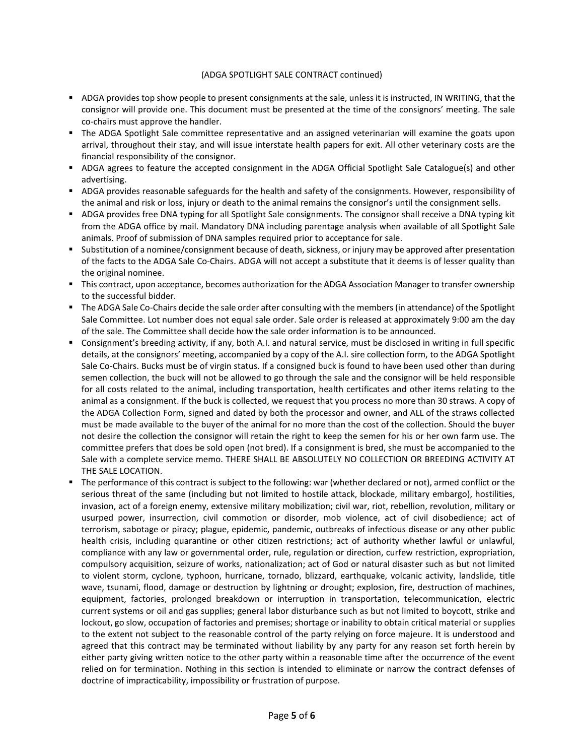### (ADGA SPOTLIGHT SALE CONTRACT continued)

- ADGA provides top show people to present consignments at the sale, unless it is instructed, IN WRITING, that the consignor will provide one. This document must be presented at the time of the consignors' meeting. The sale co-chairs must approve the handler.
- The ADGA Spotlight Sale committee representative and an assigned veterinarian will examine the goats upon arrival, throughout their stay, and will issue interstate health papers for exit. All other veterinary costs are the financial responsibility of the consignor.
- ADGA agrees to feature the accepted consignment in the ADGA Official Spotlight Sale Catalogue(s) and other advertising.
- ADGA provides reasonable safeguards for the health and safety of the consignments. However, responsibility of the animal and risk or loss, injury or death to the animal remains the consignor's until the consignment sells.
- ADGA provides free DNA typing for all Spotlight Sale consignments. The consignor shall receive a DNA typing kit from the ADGA office by mail. Mandatory DNA including parentage analysis when available of all Spotlight Sale animals. Proof of submission of DNA samples required prior to acceptance for sale.
- Substitution of a nominee/consignment because of death, sickness, or injury may be approved after presentation of the facts to the ADGA Sale Co-Chairs. ADGA will not accept a substitute that it deems is of lesser quality than the original nominee.
- This contract, upon acceptance, becomes authorization for the ADGA Association Manager to transfer ownership to the successful bidder.
- The ADGA Sale Co-Chairs decide the sale order after consulting with the members (in attendance) of the Spotlight Sale Committee. Lot number does not equal sale order. Sale order is released at approximately 9:00 am the day of the sale. The Committee shall decide how the sale order information is to be announced.
- Consignment's breeding activity, if any, both A.I. and natural service, must be disclosed in writing in full specific details, at the consignors' meeting, accompanied by a copy of the A.I. sire collection form, to the ADGA Spotlight Sale Co-Chairs. Bucks must be of virgin status. If a consigned buck is found to have been used other than during semen collection, the buck will not be allowed to go through the sale and the consignor will be held responsible for all costs related to the animal, including transportation, health certificates and other items relating to the animal as a consignment. If the buck is collected, we request that you process no more than 30 straws. A copy of the ADGA Collection Form, signed and dated by both the processor and owner, and ALL of the straws collected must be made available to the buyer of the animal for no more than the cost of the collection. Should the buyer not desire the collection the consignor will retain the right to keep the semen for his or her own farm use. The committee prefers that does be sold open (not bred). If a consignment is bred, she must be accompanied to the Sale with a complete service memo. THERE SHALL BE ABSOLUTELY NO COLLECTION OR BREEDING ACTIVITY AT THE SALE LOCATION.
- The performance of this contract is subject to the following: war (whether declared or not), armed conflict or the serious threat of the same (including but not limited to hostile attack, blockade, military embargo), hostilities, invasion, act of a foreign enemy, extensive military mobilization; civil war, riot, rebellion, revolution, military or usurped power, insurrection, civil commotion or disorder, mob violence, act of civil disobedience; act of terrorism, sabotage or piracy; plague, epidemic, pandemic, outbreaks of infectious disease or any other public health crisis, including quarantine or other citizen restrictions; act of authority whether lawful or unlawful, compliance with any law or governmental order, rule, regulation or direction, curfew restriction, expropriation, compulsory acquisition, seizure of works, nationalization; act of God or natural disaster such as but not limited to violent storm, cyclone, typhoon, hurricane, tornado, blizzard, earthquake, volcanic activity, landslide, title wave, tsunami, flood, damage or destruction by lightning or drought; explosion, fire, destruction of machines, equipment, factories, prolonged breakdown or interruption in transportation, telecommunication, electric current systems or oil and gas supplies; general labor disturbance such as but not limited to boycott, strike and lockout, go slow, occupation of factories and premises; shortage or inability to obtain critical material or supplies to the extent not subject to the reasonable control of the party relying on force majeure. It is understood and agreed that this contract may be terminated without liability by any party for any reason set forth herein by either party giving written notice to the other party within a reasonable time after the occurrence of the event relied on for termination. Nothing in this section is intended to eliminate or narrow the contract defenses of doctrine of impracticability, impossibility or frustration of purpose.